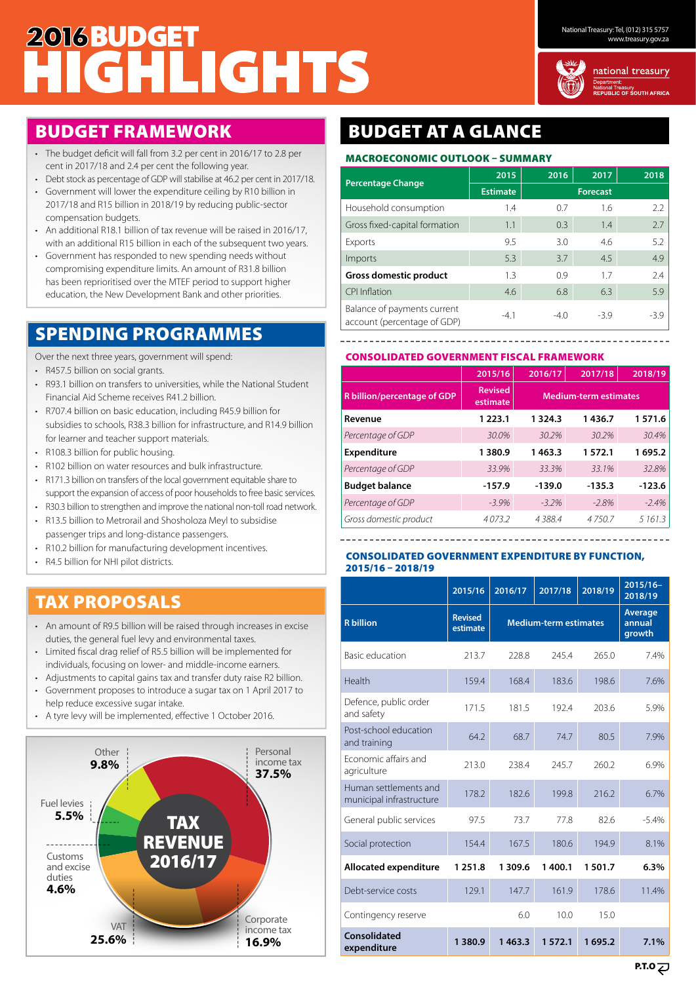# 2016BUDGET<br>HIGHLIGHTS



national treasury inal Treasury<br>UBLIC OF SOUTH AFRICA

# BUDGET FRAMEWORK

- The budget deficit will fall from 3.2 per cent in 2016/17 to 2.8 per cent in 2017/18 and 2.4 per cent the following year.
- Debt stock as percentage of GDP will stabilise at 46.2 per cent in 2017/18.
- Government will lower the expenditure ceiling by R10 billion in 2017/18 and R15 billion in 2018/19 by reducing public-sector compensation budgets.
- An additional R18.1 billion of tax revenue will be raised in 2016/17, with an additional R15 billion in each of the subsequent two years.
- Government has responded to new spending needs without compromising expenditure limits. An amount of R31.8 billion has been reprioritised over the MTEF period to support higher education, the New Development Bank and other priorities.

# SPENDING PROGRAMMES

Over the next three years, government will spend:

- R457.5 billion on social grants.
- R93.1 billion on transfers to universities, while the National Student Financial Aid Scheme receives R41.2 billion.
- R707.4 billion on basic education, including R45.9 billion for subsidies to schools, R38.3 billion for infrastructure, and R14.9 billion for learner and teacher support materials.
- R108.3 billion for public housing.
- R102 billion on water resources and bulk infrastructure.
- R171.3 billion on transfers of the local government equitable share to support the expansion of access of poor households to free basic services.
- R30.3 billion to strengthen and improve the national non-toll road network.
- R13.5 billion to Metrorail and Shosholoza Meyl to subsidise passenger trips and long-distance passengers.
- R10.2 billion for manufacturing development incentives.
- R4.5 billion for NHI pilot districts.

# TAX PROPOSALS

- An amount of R9.5 billion will be raised through increases in excise duties, the general fuel levy and environmental taxes.
- Limited fiscal drag relief of R5.5 billion will be implemented for individuals, focusing on lower- and middle-income earners.
- Adjustments to capital gains tax and transfer duty raise R2 billion.
- Government proposes to introduce a sugar tax on 1 April 2017 to help reduce excessive sugar intake.
- A tyre levy will be implemented, effective 1 October 2016.



# BUDGET AT A GLANCE

#### MACROECONOMIC OUTLOOK – SUMMARY

|                                                            | 2015            | 2016   | 2017            | 2018   |
|------------------------------------------------------------|-----------------|--------|-----------------|--------|
| <b>Percentage Change</b>                                   | <b>Estimate</b> |        | <b>Forecast</b> |        |
| Household consumption                                      | 1.4             | 0.7    | 1.6             | 2.2    |
| Gross fixed-capital formation                              | 1.1             | 0.3    | 1.4             | 2.7    |
| Exports                                                    | 9.5             | 3.0    | 4.6             | 5.2    |
| Imports                                                    | 5.3             | 3.7    | 4.5             | 4.9    |
| Gross domestic product                                     | 1.3             | 0.9    | 1.7             | 2.4    |
| <b>CPI</b> Inflation                                       | 4.6             | 6.8    | 6.3             | 5.9    |
| Balance of payments current<br>account (percentage of GDP) | $-4.1$          | $-4.0$ | $-3.9$          | $-3.9$ |

#### CONSOLIDATED GOVERNMENT FISCAL FRAMEWORK

|                                    | 2015/16                    | 2016/17                      | 2017/18  | 2018/19  |
|------------------------------------|----------------------------|------------------------------|----------|----------|
| <b>R</b> billion/percentage of GDP | <b>Revised</b><br>estimate | <b>Medium-term estimates</b> |          |          |
| Revenue                            | 1 2 2 3 . 1                | 1 3 2 4 . 3                  | 1436.7   | 1571.6   |
| Percentage of GDP                  | 30.0%                      | 30.2%                        | 30.2%    | 30.4%    |
| <b>Expenditure</b>                 | 1380.9                     | 1463.3                       | 1 572.1  | 1695.2   |
| Percentage of GDP                  | 33.9%                      | 33.3%                        | 33.1%    | 32.8%    |
| <b>Budget balance</b>              | $-157.9$                   | $-139.0$                     | $-135.3$ | $-123.6$ |
| Percentage of GDP                  | $-3.9%$                    | $-3.2%$                      | $-2.8%$  | $-2.4%$  |
| Gross domestic product             | 4073.2                     | 4388.4                       | 4750.7   | 5 161.3  |

#### CONSOLIDATED GOVERNMENT EXPENDITURE BY FUNCTION, 2015/16 – 2018/19

|                                                   | 2015/16                    | 2016/17 | 2017/18                      | 2018/19 | $2015/16-$<br>2018/19       |
|---------------------------------------------------|----------------------------|---------|------------------------------|---------|-----------------------------|
| <b>R</b> billion                                  | <b>Revised</b><br>estimate |         | <b>Medium-term estimates</b> |         | Average<br>annual<br>growth |
| Basic education                                   | 213.7                      | 228.8   | 245.4                        | 265.0   | 7.4%                        |
| Health                                            | 159.4                      | 168.4   | 183.6                        | 198.6   | 7.6%                        |
| Defence, public order<br>and safety               | 171.5                      | 181.5   | 192.4                        | 203.6   | 5.9%                        |
| Post-school education<br>and training             | 64.2                       | 68.7    | 74.7                         | 80.5    | 7.9%                        |
| Fconomic affairs and<br>agriculture               | 213.0                      | 238.4   | 245.7                        | 260.2   | 6.9%                        |
| Human settlements and<br>municipal infrastructure | 178.2                      | 182.6   | 199.8                        | 216.2   | 6.7%                        |
| General public services                           | 97.5                       | 73.7    | 77.8                         | 82.6    | $-5.4%$                     |
| Social protection                                 | 154.4                      | 167.5   | 180.6                        | 194.9   | 8.1%                        |
| <b>Allocated expenditure</b>                      | 1 2 5 1 .8                 | 1 309.6 | 1400.1                       | 1501.7  | 6.3%                        |
| Debt-service costs                                | 129.1                      | 147.7   | 161.9                        | 178.6   | 11.4%                       |
| Contingency reserve                               |                            | 6.0     | 10.0                         | 15.0    |                             |
| Consolidated<br>expenditure                       | 1380.9                     | 1463.3  | 1 572.1                      | 1695.2  | 7.1%                        |